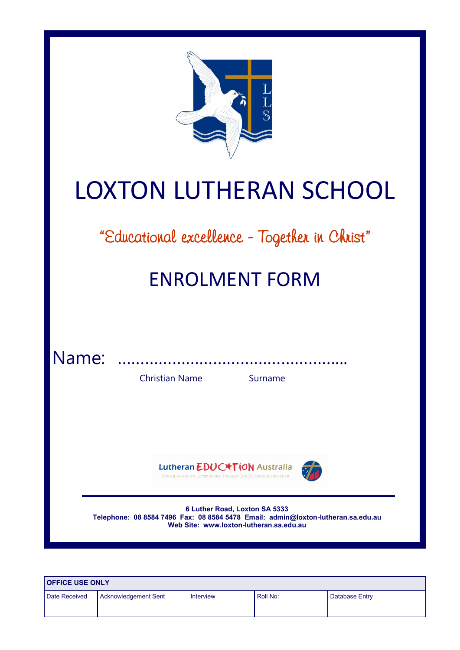| <b>LOXTON LUTHERAN SCHOOL</b>                                                                                                                                |  |  |  |
|--------------------------------------------------------------------------------------------------------------------------------------------------------------|--|--|--|
| "Educational excellence - Together in Christ"                                                                                                                |  |  |  |
| <b>ENROLMENT FORM</b>                                                                                                                                        |  |  |  |
| Name:<br><b>Christian Name</b><br>Surname                                                                                                                    |  |  |  |
| Lutheran EDUC <sup>+</sup> TION Australia<br>Serving Australian Communities Through CHRIST Centred Education                                                 |  |  |  |
| 6 Luther Road, Loxton SA 5333<br>Telephone: 08 8584 7496 Fax: 08 8584 5478 Email: admin@loxton-lutheran.sa.edu.au<br>Web Site: www.loxton-lutheran.sa.edu.au |  |  |  |

| <b>OFFICE USE ONLY</b> |                      |           |          |                |  |
|------------------------|----------------------|-----------|----------|----------------|--|
| Date Received          | Acknowledgement Sent | Interview | Roll No: | Database Entry |  |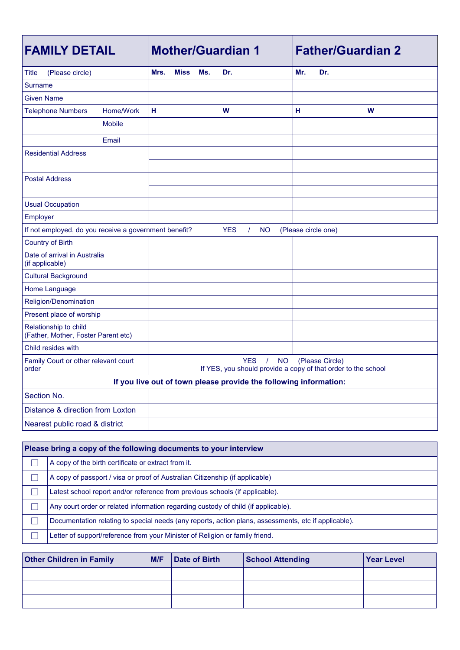| <b>FAMILY DETAIL</b>                                              | <b>Mother/Guardian 1</b>                                                                                                | <b>Father/Guardian 2</b> |  |  |
|-------------------------------------------------------------------|-------------------------------------------------------------------------------------------------------------------------|--------------------------|--|--|
| Title<br>(Please circle)                                          | Mrs.<br><b>Miss</b><br>Ms.<br>Dr.                                                                                       | Mr.<br>Dr.               |  |  |
| Surname                                                           |                                                                                                                         |                          |  |  |
| Given Name                                                        |                                                                                                                         |                          |  |  |
| Home/Work<br><b>Telephone Numbers</b>                             | H<br>W                                                                                                                  | н<br>W                   |  |  |
| <b>Mobile</b>                                                     |                                                                                                                         |                          |  |  |
| Email                                                             |                                                                                                                         |                          |  |  |
| <b>Residential Address</b>                                        |                                                                                                                         |                          |  |  |
|                                                                   |                                                                                                                         |                          |  |  |
| <b>Postal Address</b>                                             |                                                                                                                         |                          |  |  |
|                                                                   |                                                                                                                         |                          |  |  |
| <b>Usual Occupation</b>                                           |                                                                                                                         |                          |  |  |
| Employer                                                          |                                                                                                                         |                          |  |  |
| If not employed, do you receive a government benefit?             | <b>YES</b><br><b>NO</b><br>$\prime$                                                                                     | (Please circle one)      |  |  |
| <b>Country of Birth</b>                                           |                                                                                                                         |                          |  |  |
| Date of arrival in Australia<br>(if applicable)                   |                                                                                                                         |                          |  |  |
| <b>Cultural Background</b>                                        |                                                                                                                         |                          |  |  |
| Home Language                                                     |                                                                                                                         |                          |  |  |
| Religion/Denomination                                             |                                                                                                                         |                          |  |  |
| Present place of worship                                          |                                                                                                                         |                          |  |  |
| Relationship to child<br>(Father, Mother, Foster Parent etc)      |                                                                                                                         |                          |  |  |
| Child resides with                                                |                                                                                                                         |                          |  |  |
| Family Court or other relevant court<br>order                     | <b>YES</b><br>$\prime$<br><b>NO</b><br>(Please Circle)<br>If YES, you should provide a copy of that order to the school |                          |  |  |
| If you live out of town please provide the following information: |                                                                                                                         |                          |  |  |
| Section No.                                                       |                                                                                                                         |                          |  |  |
| Distance & direction from Loxton                                  |                                                                                                                         |                          |  |  |
| Nearest public road & district                                    |                                                                                                                         |                          |  |  |

| Please bring a copy of the following documents to your interview                                     |
|------------------------------------------------------------------------------------------------------|
| A copy of the birth certificate or extract from it.                                                  |
| A copy of passport / visa or proof of Australian Citizenship (if applicable)                         |
| Latest school report and/or reference from previous schools (if applicable).                         |
| Any court order or related information regarding custody of child (if applicable).                   |
| Documentation relating to special needs (any reports, action plans, assessments, etc if applicable). |
| Letter of support/reference from your Minister of Religion or family friend.                         |

| <b>Other Children in Family</b> | IM/F<br>Date of Birth<br><b>School Attending</b> |  | <b>Year Level</b> |  |  |
|---------------------------------|--------------------------------------------------|--|-------------------|--|--|
|                                 |                                                  |  |                   |  |  |
|                                 |                                                  |  |                   |  |  |
|                                 |                                                  |  |                   |  |  |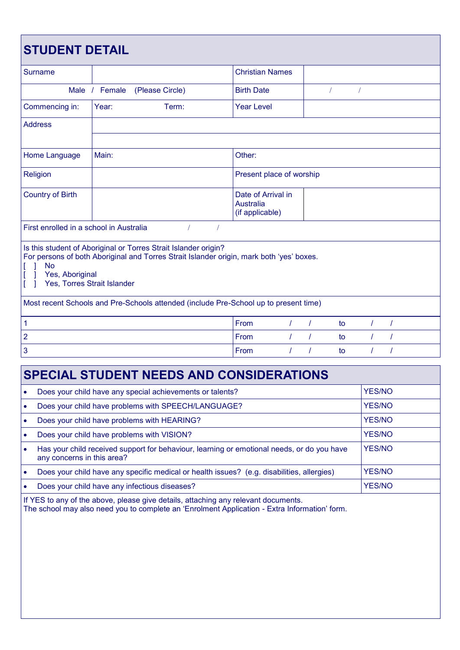| <b>STUDENT DETAIL</b>                                                                                                                                                                                                      |                                  |                                                    |                          |    |          |   |  |
|----------------------------------------------------------------------------------------------------------------------------------------------------------------------------------------------------------------------------|----------------------------------|----------------------------------------------------|--------------------------|----|----------|---|--|
| Surname                                                                                                                                                                                                                    |                                  | <b>Christian Names</b>                             |                          |    |          |   |  |
|                                                                                                                                                                                                                            | Male / Female<br>(Please Circle) | <b>Birth Date</b>                                  |                          |    |          |   |  |
| Commencing in:                                                                                                                                                                                                             | Year:<br>Term:                   | <b>Year Level</b>                                  |                          |    |          |   |  |
| <b>Address</b>                                                                                                                                                                                                             |                                  |                                                    |                          |    |          |   |  |
|                                                                                                                                                                                                                            |                                  |                                                    |                          |    |          |   |  |
| Main:<br>Other:<br>Home Language                                                                                                                                                                                           |                                  |                                                    |                          |    |          |   |  |
| Religion                                                                                                                                                                                                                   |                                  |                                                    | Present place of worship |    |          |   |  |
| <b>Country of Birth</b>                                                                                                                                                                                                    |                                  | Date of Arrival in<br>Australia<br>(if applicable) |                          |    |          |   |  |
| First enrolled in a school in Australia<br>$\sqrt{ }$                                                                                                                                                                      |                                  |                                                    |                          |    |          |   |  |
| Is this student of Aboriginal or Torres Strait Islander origin?<br>For persons of both Aboriginal and Torres Strait Islander origin, mark both 'yes' boxes.<br><b>No</b><br>Yes, Aboriginal<br>Yes, Torres Strait Islander |                                  |                                                    |                          |    |          |   |  |
| Most recent Schools and Pre-Schools attended (include Pre-School up to present time)                                                                                                                                       |                                  |                                                    |                          |    |          |   |  |
| $\mathbf{1}$                                                                                                                                                                                                               |                                  | From<br>T                                          |                          | to | $\prime$ | I |  |
| $\overline{2}$                                                                                                                                                                                                             |                                  | From                                               |                          | to |          |   |  |
| 3                                                                                                                                                                                                                          |                                  | From                                               |                          | to |          |   |  |

## **SPECIAL STUDENT NEEDS AND CONSIDERATIONS** • Does your child have any special achievements or talents?  $\vert$  YES/NO

| Does your child have problems with SPEECH/LANGUAGE?                                                                      | <b>YES/NO</b> |
|--------------------------------------------------------------------------------------------------------------------------|---------------|
| Does your child have problems with HEARING?                                                                              | <b>YES/NO</b> |
| Does your child have problems with VISION?                                                                               | <b>YES/NO</b> |
| Has your child received support for behaviour, learning or emotional needs, or do you have<br>any concerns in this area? | <b>YES/NO</b> |
| Does your child have any specific medical or health issues? (e.g. disabilities, allergies)                               | <b>YES/NO</b> |
| Does your child have any infectious diseases?                                                                            | <b>YES/NO</b> |

If YES to any of the above, please give details, attaching any relevant documents.

The school may also need you to complete an 'Enrolment Application - Extra Information' form.